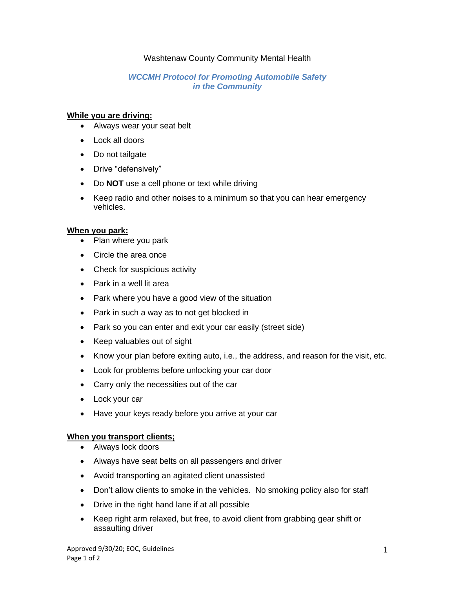# Washtenaw County Community Mental Health

### *WCCMH Protocol for Promoting Automobile Safety in the Community*

### **While you are driving:**

- Always wear your seat belt
- Lock all doors
- Do not tailgate
- Drive "defensively"
- Do **NOT** use a cell phone or text while driving
- Keep radio and other noises to a minimum so that you can hear emergency vehicles.

## **When you park:**

- Plan where you park
- Circle the area once
- Check for suspicious activity
- Park in a well lit area
- Park where you have a good view of the situation
- Park in such a way as to not get blocked in
- Park so you can enter and exit your car easily (street side)
- Keep valuables out of sight
- Know your plan before exiting auto, i.e., the address, and reason for the visit, etc.
- Look for problems before unlocking your car door
- Carry only the necessities out of the car
- Lock your car
- Have your keys ready before you arrive at your car

## **When you transport clients;**

- Always lock doors
- Always have seat belts on all passengers and driver
- Avoid transporting an agitated client unassisted
- Don't allow clients to smoke in the vehicles. No smoking policy also for staff
- Drive in the right hand lane if at all possible
- Keep right arm relaxed, but free, to avoid client from grabbing gear shift or assaulting driver